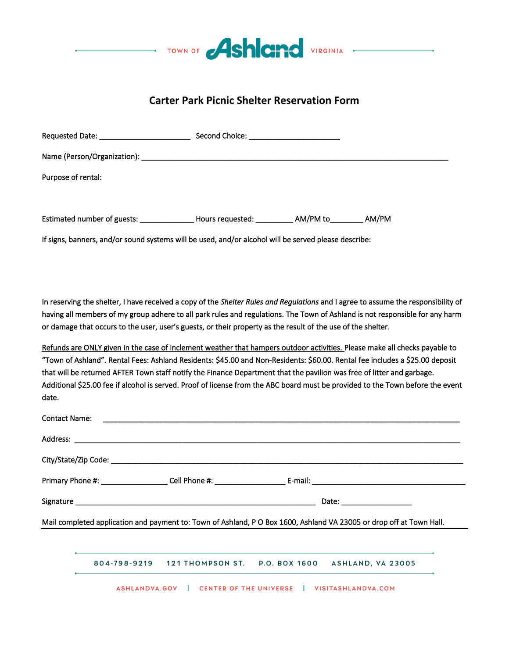

## **Carter Park Picnic Shelter Reservation Form**

| If signs, banners, and/or sound systems will be used, and/or alcohol will be served please describe: |  |  |  |  |  |  |  |  |
|------------------------------------------------------------------------------------------------------|--|--|--|--|--|--|--|--|
|                                                                                                      |  |  |  |  |  |  |  |  |
|                                                                                                      |  |  |  |  |  |  |  |  |

In reserving the shelter, I have received a copy of the *Shelter Rules and Regulations* and I agree to assume the responsibility of having all members of my group adhere to all park rules and regulations. The Town of Ashland is not responsible for any harm or damage that occurs to the user, user's guests, or their property as the result of the use of the shelter.

Refunds are ONLY given in the case of inclement weather that hampers outdoor activities. Please make all checks payable to "Town of Ashland". Rental Fees: Ashland Residents: \$45.00 and Non-Residents: \$60.00. Rental fee includes a \$25.00 deposit that will be returned AFTER Town staff notify the Finance Department that the pavilion was free of litter and garbage. Additional \$25.00 fee if alcohol is served. Proof of license from the ABC board must be provided to the Town before the event date.

| <b>Contact Name:</b>                                                                                                |  |                                                             |  |                                                               |  |  |  |
|---------------------------------------------------------------------------------------------------------------------|--|-------------------------------------------------------------|--|---------------------------------------------------------------|--|--|--|
|                                                                                                                     |  |                                                             |  |                                                               |  |  |  |
|                                                                                                                     |  |                                                             |  |                                                               |  |  |  |
|                                                                                                                     |  |                                                             |  |                                                               |  |  |  |
|                                                                                                                     |  |                                                             |  |                                                               |  |  |  |
| Mail completed application and payment to: Town of Ashland, PO Box 1600, Ashland VA 23005 or drop off at Town Hall. |  |                                                             |  |                                                               |  |  |  |
|                                                                                                                     |  |                                                             |  |                                                               |  |  |  |
|                                                                                                                     |  |                                                             |  | 804-798-9219 121 THOMPSON ST. P.O. BOX 1600 ASHLAND, VA 23005 |  |  |  |
|                                                                                                                     |  | ASHLANDVA.GOV   CENTER OF THE UNIVERSE   VISITASHLANDVA.COM |  |                                                               |  |  |  |